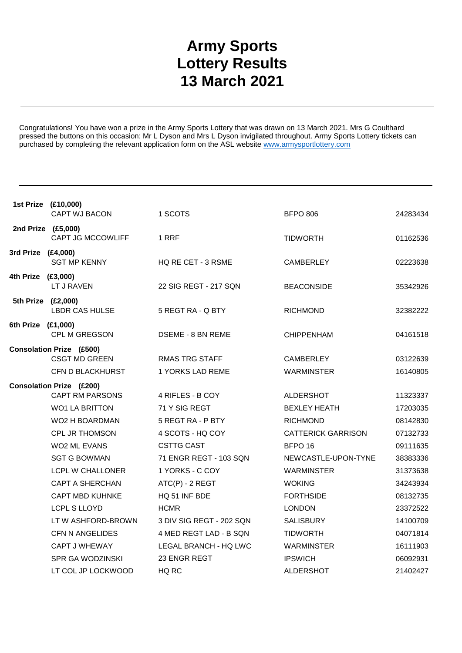## **Army Sports Lottery Results 13 March 2021**

Congratulations! You have won a prize in the Army Sports Lottery that was drawn on 13 March 2021. Mrs G Coulthard pressed the buttons on this occasion: Mr L Dyson and Mrs L Dyson invigilated throughout. Army Sports Lottery tickets can purchased by completing the relevant application form on the ASL website www.armysportlottery.com

|                    | 1st Prize (£10,000)             |                           |                           |          |
|--------------------|---------------------------------|---------------------------|---------------------------|----------|
|                    | CAPT WJ BACON                   | 1 SCOTS                   | <b>BFPO 806</b>           | 24283434 |
| 2nd Prize (£5,000) | <b>CAPT JG MCCOWLIFF</b>        | 1 RRF                     | <b>TIDWORTH</b>           | 01162536 |
| 3rd Prize (£4,000) | <b>SGT MP KENNY</b>             | <b>HQ RE CET - 3 RSME</b> | <b>CAMBERLEY</b>          | 02223638 |
| 4th Prize (£3,000) | LT J RAVEN                      | 22 SIG REGT - 217 SQN     | <b>BEACONSIDE</b>         | 35342926 |
| 5th Prize (£2,000) | <b>LBDR CAS HULSE</b>           | 5 REGT RA - Q BTY         | <b>RICHMOND</b>           | 32382222 |
| 6th Prize (£1,000) | CPL M GREGSON                   | DSEME - 8 BN REME         | <b>CHIPPENHAM</b>         | 04161518 |
|                    | <b>Consolation Prize (£500)</b> |                           |                           |          |
|                    | <b>CSGT MD GREEN</b>            | <b>RMAS TRG STAFF</b>     | <b>CAMBERLEY</b>          | 03122639 |
|                    | CFN D BLACKHURST                | 1 YORKS LAD REME          | <b>WARMINSTER</b>         | 16140805 |
|                    | <b>Consolation Prize (£200)</b> |                           |                           |          |
|                    | <b>CAPT RM PARSONS</b>          | 4 RIFLES - B COY          | ALDERSHOT                 | 11323337 |
|                    | <b>WO1 LA BRITTON</b>           | 71 Y SIG REGT             | <b>BEXLEY HEATH</b>       | 17203035 |
|                    | WO2 H BOARDMAN                  | 5 REGT RA - P BTY         | <b>RICHMOND</b>           | 08142830 |
|                    | CPL JR THOMSON                  | 4 SCOTS - HQ COY          | <b>CATTERICK GARRISON</b> | 07132733 |
|                    | <b>WO2 ML EVANS</b>             | <b>CSTTG CAST</b>         | BFPO <sub>16</sub>        | 09111635 |
|                    | <b>SGT G BOWMAN</b>             | 71 ENGR REGT - 103 SQN    | NEWCASTLE-UPON-TYNE       | 38383336 |
|                    | <b>LCPL W CHALLONER</b>         | 1 YORKS - C COY           | <b>WARMINSTER</b>         | 31373638 |
|                    | <b>CAPT A SHERCHAN</b>          | ATC(P) - 2 REGT           | <b>WOKING</b>             | 34243934 |
|                    | <b>CAPT MBD KUHNKE</b>          | HQ 51 INF BDE             | <b>FORTHSIDE</b>          | 08132735 |
|                    | <b>LCPL S LLOYD</b>             | <b>HCMR</b>               | <b>LONDON</b>             | 23372522 |
|                    | LT W ASHFORD-BROWN              | 3 DIV SIG REGT - 202 SQN  | <b>SALISBURY</b>          | 14100709 |
|                    | <b>CFN N ANGELIDES</b>          | 4 MED REGT LAD - B SQN    | <b>TIDWORTH</b>           | 04071814 |
|                    | <b>CAPT J WHEWAY</b>            | LEGAL BRANCH - HQ LWC     | <b>WARMINSTER</b>         | 16111903 |
|                    | <b>SPR GA WODZINSKI</b>         | 23 ENGR REGT              | <b>IPSWICH</b>            | 06092931 |
|                    | LT COL JP LOCKWOOD              | HQ RC                     | <b>ALDERSHOT</b>          | 21402427 |